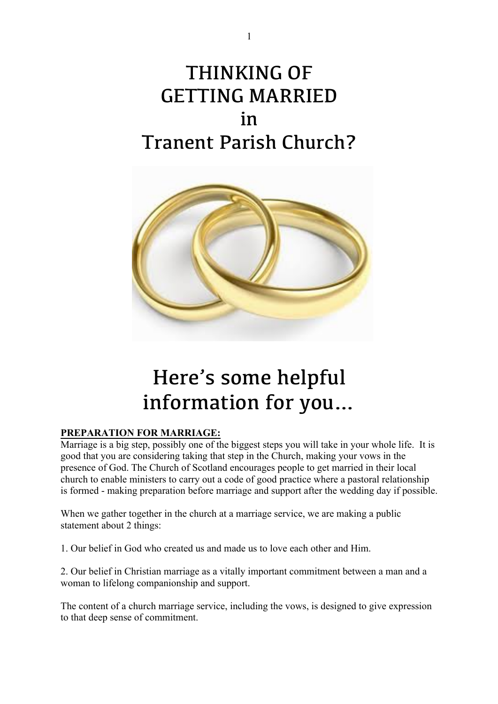## THINKING OF GETTING MARRIED in Tranent Parish Church?



# Here's some helpful information for you…

### **PREPARATION FOR MARRIAGE:**

Marriage is a big step, possibly one of the biggest steps you will take in your whole life. It is good that you are considering taking that step in the Church, making your vows in the presence of God. The Church of Scotland encourages people to get married in their local church to enable ministers to carry out a code of good practice where a pastoral relationship is formed - making preparation before marriage and support after the wedding day if possible.

When we gather together in the church at a marriage service, we are making a public statement about 2 things:

1. Our belief in God who created us and made us to love each other and Him.

2. Our belief in Christian marriage as a vitally important commitment between a man and a woman to lifelong companionship and support.

The content of a church marriage service, including the vows, is designed to give expression to that deep sense of commitment.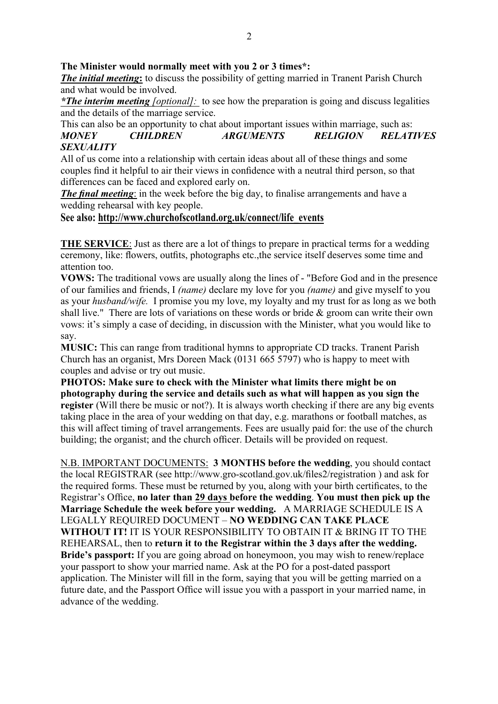#### **The Minister would normally meet with you 2 or 3 times\*:**

*The initial meeting***:** to discuss the possibility of getting married in Tranent Parish Church and what would be involved.

*\*The interim meeting [optional]:* to see how the preparation is going and discuss legalities and the details of the marriage service.

#### This can also be an opportunity to chat about important issues within marriage, such as: *MONEY CHILDREN ARGUMENTS RELIGION RELATIVES SEXUALITY*

All of us come into a relationship with certain ideas about all of these things and some couples find it helpful to air their views in confidence with a neutral third person, so that differences can be faced and explored early on.

*The final meeting*: in the week before the big day, to finalise arrangements and have a wedding rehearsal with key people.

#### **See also: http://www.churchofscotland.org.uk/connect/life\_events**

**THE SERVICE**: Just as there are a lot of things to prepare in practical terms for a wedding ceremony, like: flowers, outfits, photographs etc.,the service itself deserves some time and attention too.

**VOWS:** The traditional vows are usually along the lines of - "Before God and in the presence of our families and friends, I *(name)* declare my love for you *(name)* and give myself to you as your *husband/wife.* I promise you my love, my loyalty and my trust for as long as we both shall live." There are lots of variations on these words or bride  $\&$  groom can write their own vows: it's simply a case of deciding, in discussion with the Minister, what you would like to say.

**MUSIC:** This can range from traditional hymns to appropriate CD tracks. Tranent Parish Church has an organist, Mrs Doreen Mack (0131 665 5797) who is happy to meet with couples and advise or try out music.

**PHOTOS: Make sure to check with the Minister what limits there might be on photography during the service and details such as what will happen as you sign the register** (Will there be music or not?). It is always worth checking if there are any big events taking place in the area of your wedding on that day, e.g. marathons or football matches, as this will affect timing of travel arrangements. Fees are usually paid for: the use of the church building; the organist; and the church officer. Details will be provided on request.

N.B. IMPORTANT DOCUMENTS: **3 MONTHS before the wedding**, you should contact the local REGISTRAR (see http://www.gro-scotland.gov.uk/files2/registration ) and ask for the required forms. These must be returned by you, along with your birth certificates, to the Registrar's Office, **no later than 29 days before the wedding**. **You must then pick up the Marriage Schedule the week before your wedding.** A MARRIAGE SCHEDULE IS A LEGALLY REQUIRED DOCUMENT – **NO WEDDING CAN TAKE PLACE WITHOUT IT!** IT IS YOUR RESPONSIBILITY TO OBTAIN IT & BRING IT TO THE REHEARSAL, then to **return it to the Registrar within the 3 days after the wedding. Bride's passport:** If you are going abroad on honeymoon, you may wish to renew/replace your passport to show your married name. Ask at the PO for a post-dated passport application. The Minister will fill in the form, saying that you will be getting married on a future date, and the Passport Office will issue you with a passport in your married name, in advance of the wedding.